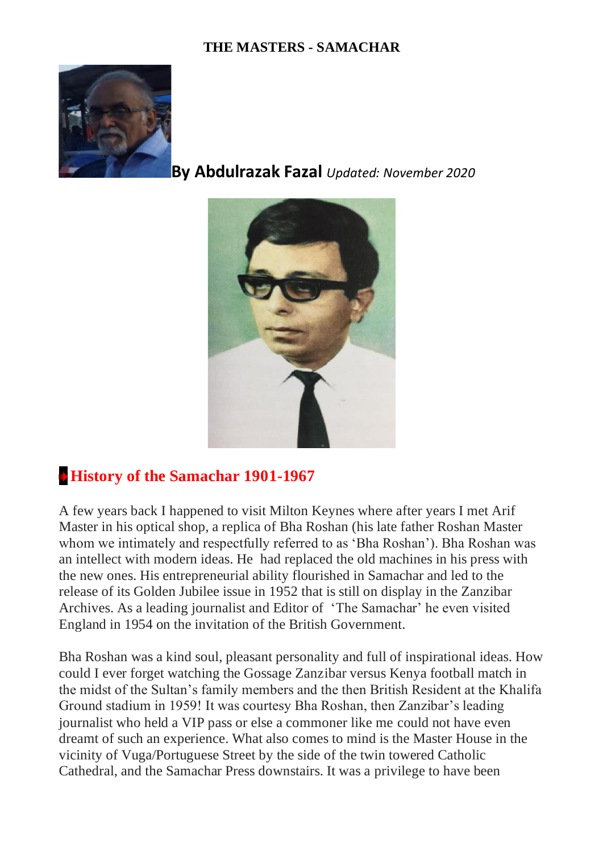## **THE MASTERS - SAMACHAR**



**By Abdulrazak Fazal** *Updated: November 2020*



## **[History of the Samachar 1901-1967](https://khojapedia.com/wiki/index.php?title=History_of_the_Samachar_1901-1967)**

A few years back I happened to visit Milton Keynes where after years I met Arif Master in his optical shop, a replica of Bha Roshan (his late father Roshan Master whom we intimately and respectfully referred to as 'Bha Roshan'). Bha Roshan was an intellect with modern ideas. He had replaced the old machines in his press with the new ones. His entrepreneurial ability flourished in Samachar and led to the release of its Golden Jubilee issue in 1952 that is still on display in the Zanzibar Archives. As a leading journalist and Editor of 'The Samachar' he even visited England in 1954 on the invitation of the British Government.

Bha Roshan was a kind soul, pleasant personality and full of inspirational ideas. How could I ever forget watching the Gossage Zanzibar versus Kenya football match in the midst of the Sultan's family members and the then British Resident at the Khalifa Ground stadium in 1959! It was courtesy Bha Roshan, then Zanzibar's leading journalist who held a VIP pass or else a commoner like me could not have even dreamt of such an experience. What also comes to mind is the Master House in the vicinity of Vuga/Portuguese Street by the side of the twin towered Catholic Cathedral, and the Samachar Press downstairs. It was a privilege to have been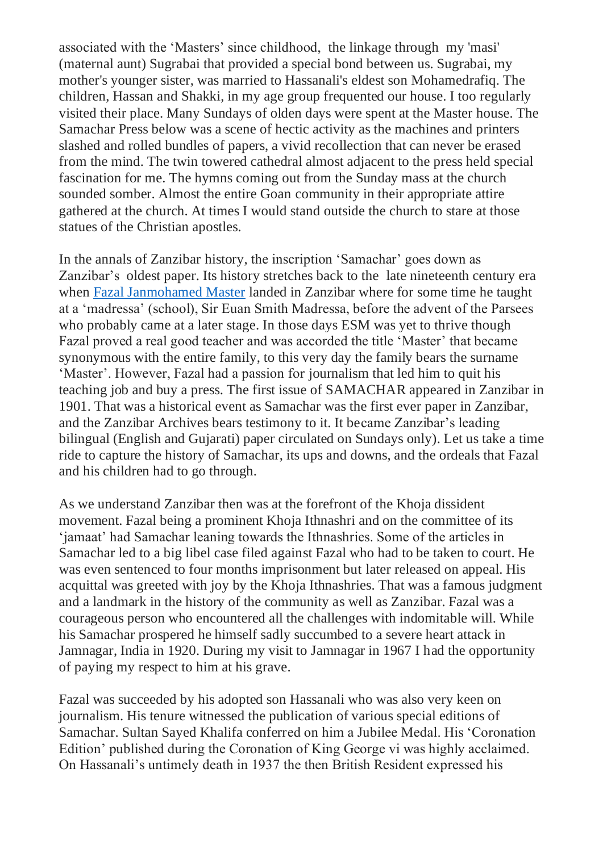associated with the 'Masters' since childhood, the linkage through my 'masi' (maternal aunt) Sugrabai that provided a special bond between us. Sugrabai, my mother's younger sister, was married to Hassanali's eldest son Mohamedrafiq. The children, Hassan and Shakki, in my age group frequented our house. I too regularly visited their place. Many Sundays of olden days were spent at the Master house. The Samachar Press below was a scene of hectic activity as the machines and printers slashed and rolled bundles of papers, a vivid recollection that can never be erased from the mind. The twin towered cathedral almost adjacent to the press held special fascination for me. The hymns coming out from the Sunday mass at the church sounded somber. Almost the entire Goan community in their appropriate attire gathered at the church. At times I would stand outside the church to stare at those statues of the Christian apostles.

In the annals of Zanzibar history, the inscription 'Samachar' goes down as Zanzibar's oldest paper. Its history stretches back to the late nineteenth century era when [Fazal Janmohamed Master](http://khojawiki.org/Fazal_Janmohamed_Master) landed in Zanzibar where for some time he taught at a 'madressa' (school), Sir Euan Smith Madressa, before the advent of the Parsees who probably came at a later stage. In those days ESM was yet to thrive though Fazal proved a real good teacher and was accorded the title 'Master' that became synonymous with the entire family, to this very day the family bears the surname 'Master'. However, Fazal had a passion for journalism that led him to quit his teaching job and buy a press. The first issue of SAMACHAR appeared in Zanzibar in 1901. That was a historical event as Samachar was the first ever paper in Zanzibar, and the Zanzibar Archives bears testimony to it. It became Zanzibar's leading bilingual (English and Gujarati) paper circulated on Sundays only). Let us take a time ride to capture the history of Samachar, its ups and downs, and the ordeals that Fazal and his children had to go through.

As we understand Zanzibar then was at the forefront of the Khoja dissident movement. Fazal being a prominent Khoja Ithnashri and on the committee of its 'jamaat' had Samachar leaning towards the Ithnashries. Some of the articles in Samachar led to a big libel case filed against Fazal who had to be taken to court. He was even sentenced to four months imprisonment but later released on appeal. His acquittal was greeted with joy by the Khoja Ithnashries. That was a famous judgment and a landmark in the history of the community as well as Zanzibar. Fazal was a courageous person who encountered all the challenges with indomitable will. While his Samachar prospered he himself sadly succumbed to a severe heart attack in Jamnagar, India in 1920. During my visit to Jamnagar in 1967 I had the opportunity of paying my respect to him at his grave.

Fazal was succeeded by his adopted son Hassanali who was also very keen on journalism. His tenure witnessed the publication of various special editions of Samachar. Sultan Sayed Khalifa conferred on him a Jubilee Medal. His 'Coronation Edition' published during the Coronation of King George vi was highly acclaimed. On Hassanali's untimely death in 1937 the then British Resident expressed his